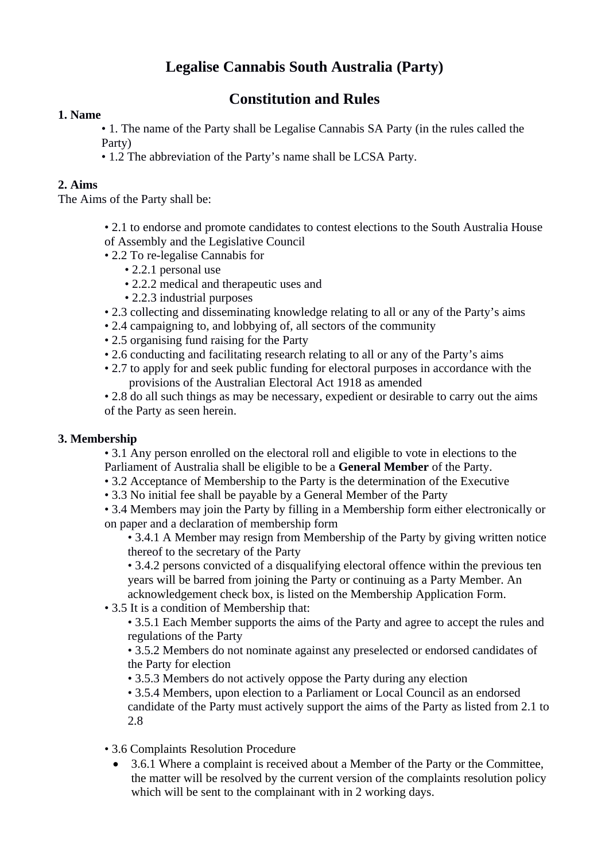# **Legalise Cannabis South Australia (Party)**

# **Constitution and Rules**

# **1. Name**

• 1. The name of the Party shall be Legalise Cannabis SA Party (in the rules called the Party)

• 1.2 The abbreviation of the Party's name shall be LCSA Party.

### **2. Aims**

The Aims of the Party shall be:

- 2.1 to endorse and promote candidates to contest elections to the South Australia House of Assembly and the Legislative Council
- 2.2 To re-legalise Cannabis for
	- 2.2.1 personal use
	- 2.2.2 medical and therapeutic uses and
	- 2.2.3 industrial purposes
- 2.3 collecting and disseminating knowledge relating to all or any of the Party's aims
- 2.4 campaigning to, and lobbying of, all sectors of the community
- 2.5 organising fund raising for the Party
- 2.6 conducting and facilitating research relating to all or any of the Party's aims
- 2.7 to apply for and seek public funding for electoral purposes in accordance with the provisions of the Australian Electoral Act 1918 as amended
- 2.8 do all such things as may be necessary, expedient or desirable to carry out the aims of the Party as seen herein.

# **3. Membership**

• 3.1 Any person enrolled on the electoral roll and eligible to vote in elections to the Parliament of Australia shall be eligible to be a **General Member** of the Party.

- 3.2 Acceptance of Membership to the Party is the determination of the Executive
- 3.3 No initial fee shall be payable by a General Member of the Party

• 3.4 Members may join the Party by filling in a Membership form either electronically or on paper and a declaration of membership form

• 3.4.1 A Member may resign from Membership of the Party by giving written notice thereof to the secretary of the Party

• 3.4.2 persons convicted of a disqualifying electoral offence within the previous ten years will be barred from joining the Party or continuing as a Party Member. An acknowledgement check box, is listed on the Membership Application Form.

• 3.5 It is a condition of Membership that:

• 3.5.1 Each Member supports the aims of the Party and agree to accept the rules and regulations of the Party

• 3.5.2 Members do not nominate against any preselected or endorsed candidates of the Party for election

• 3.5.3 Members do not actively oppose the Party during any election

• 3.5.4 Members, upon election to a Parliament or Local Council as an endorsed candidate of the Party must actively support the aims of the Party as listed from 2.1 to 2.8

• 3.6 Complaints Resolution Procedure

• 3.6.1 Where a complaint is received about a Member of the Party or the Committee, the matter will be resolved by the current version of the complaints resolution policy which will be sent to the complainant with in 2 working days.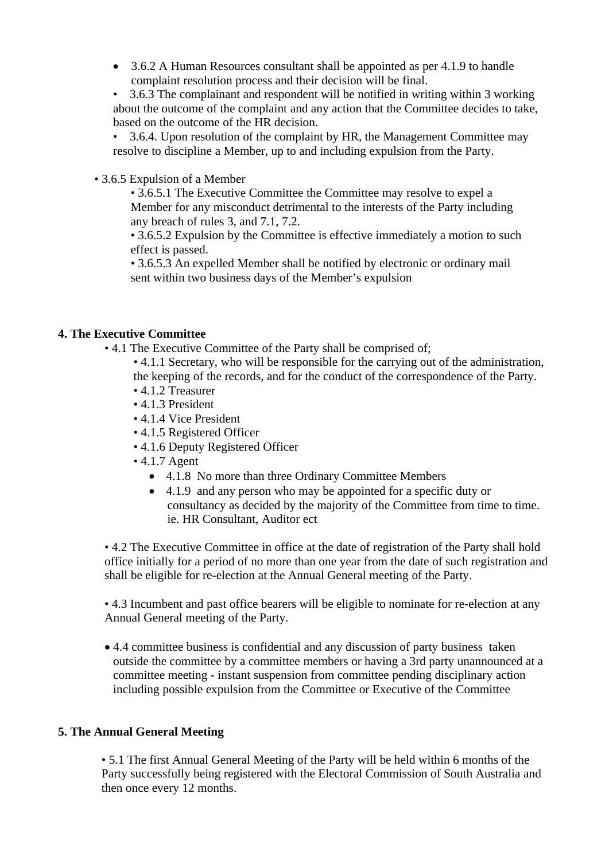3.6.2 A Human Resources consultant shall be appointed as per 4.1.9 to handle complaint resolution process and their decision will be final.

• 3.6.3 The complainant and respondent will be notified in writing within 3 working about the outcome of the complaint and any action that the Committee decides to take, based on the outcome of the HR decision.

• 3.6.4. Upon resolution of the complaint by HR, the Management Committee may resolve to discipline a Member, up to and including expulsion from the Party.

• 3.6.5 Expulsion of a Member

• 3.6.5.1 The Executive Committee the Committee may resolve to expel a Member for any misconduct detrimental to the interests of the Party including any breach of rules 3, and 7.1, 7.2.

• 3.6.5.2 Expulsion by the Committee is effective immediately a motion to such effect is passed.

• 3.6.5.3 An expelled Member shall be notified by electronic or ordinary mail sent within two business days of the Member's expulsion

#### **4. The Executive Committee**

- 4.1 The Executive Committee of the Party shall be comprised of;
	- 4.1.1 Secretary, who will be responsible for the carrying out of the administration, the keeping of the records, and for the conduct of the correspondence of the Party. • 4.1.2 Treasurer
	- 4.1.3 President
	- 4.1.4 Vice President
	- 4.1.5 Registered Officer
	- 4.1.6 Deputy Registered Officer
	- 4.1.7 Agent
		- 4.1.8 No more than three Ordinary Committee Members
		- 4.1.9 and any person who may be appointed for a specific duty or consultancy as decided by the majority of the Committee from time to time. ie. HR Consultant, Auditor ect

• 4.2 The Executive Committee in office at the date of registration of the Party shall hold office initially for a period of no more than one year from the date of such registration and shall be eligible for re-election at the Annual General meeting of the Party.

• 4.3 Incumbent and past office bearers will be eligible to nominate for re-election at any Annual General meeting of the Party.

 4.4 committee business is confidential and any discussion of party business taken outside the committee by a committee members or having a 3rd party unannounced at a committee meeting - instant suspension from committee pending disciplinary action including possible expulsion from the Committee or Executive of the Committee

#### **5. The Annual General Meeting**

• 5.1 The first Annual General Meeting of the Party will be held within 6 months of the Party successfully being registered with the Electoral Commission of South Australia and then once every 12 months.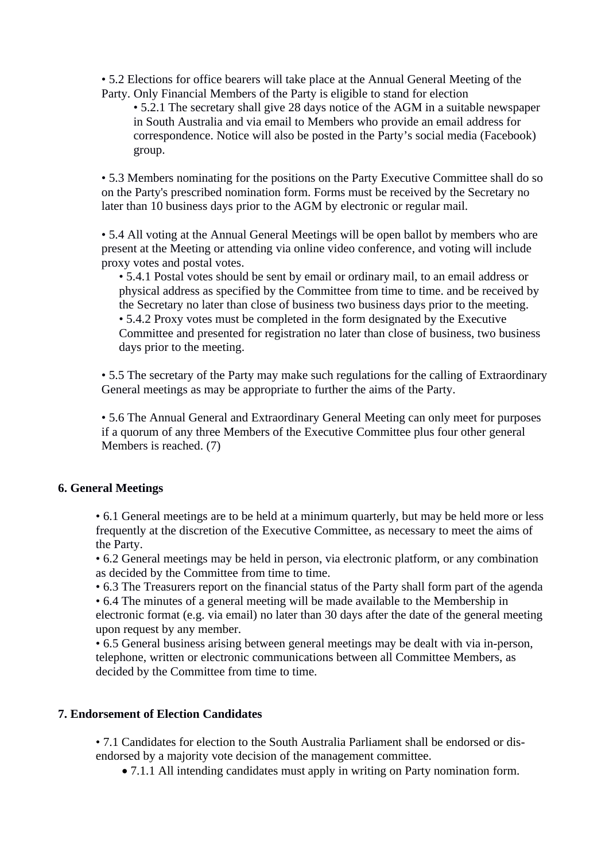• 5.2 Elections for office bearers will take place at the Annual General Meeting of the Party. Only Financial Members of the Party is eligible to stand for election

• 5.2.1 The secretary shall give 28 days notice of the AGM in a suitable newspaper in South Australia and via email to Members who provide an email address for correspondence. Notice will also be posted in the Party's social media (Facebook) group.

• 5.3 Members nominating for the positions on the Party Executive Committee shall do so on the Party's prescribed nomination form. Forms must be received by the Secretary no later than 10 business days prior to the AGM by electronic or regular mail.

• 5.4 All voting at the Annual General Meetings will be open ballot by members who are present at the Meeting or attending via online video conference, and voting will include proxy votes and postal votes.

• 5.4.1 Postal votes should be sent by email or ordinary mail, to an email address or physical address as specified by the Committee from time to time. and be received by the Secretary no later than close of business two business days prior to the meeting. • 5.4.2 Proxy votes must be completed in the form designated by the Executive Committee and presented for registration no later than close of business, two business days prior to the meeting.

• 5.5 The secretary of the Party may make such regulations for the calling of Extraordinary General meetings as may be appropriate to further the aims of the Party.

• 5.6 The Annual General and Extraordinary General Meeting can only meet for purposes if a quorum of any three Members of the Executive Committee plus four other general Members is reached. (7)

#### **6. General Meetings**

• 6.1 General meetings are to be held at a minimum quarterly, but may be held more or less frequently at the discretion of the Executive Committee, as necessary to meet the aims of the Party.

• 6.2 General meetings may be held in person, via electronic platform, or any combination as decided by the Committee from time to time.

• 6.3 The Treasurers report on the financial status of the Party shall form part of the agenda

• 6.4 The minutes of a general meeting will be made available to the Membership in electronic format (e.g. via email) no later than 30 days after the date of the general meeting

upon request by any member. • 6.5 General business arising between general meetings may be dealt with via in-person, telephone, written or electronic communications between all Committee Members, as decided by the Committee from time to time.

# **7. Endorsement of Election Candidates**

• 7.1 Candidates for election to the South Australia Parliament shall be endorsed or disendorsed by a majority vote decision of the management committee.

7.1.1 All intending candidates must apply in writing on Party nomination form.